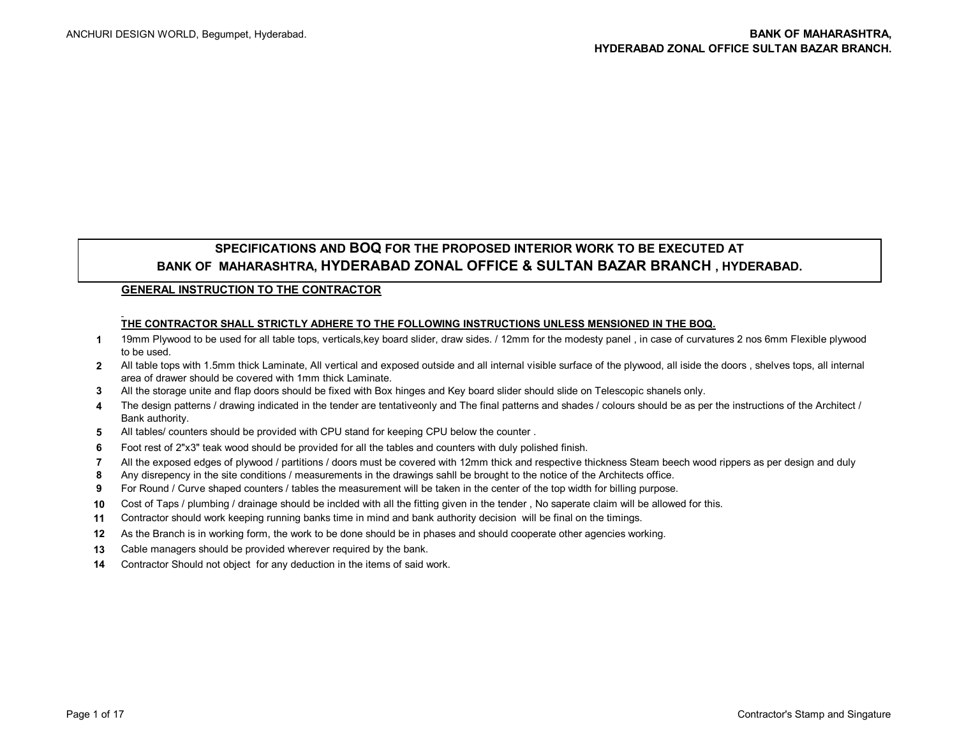## **SPECIFICATIONS AND BOQ FOR THE PROPOSED INTERIOR WORK TO BE EXECUTED AT BANK OF MAHARASHTRA, HYDERABAD ZONAL OFFICE & SULTAN BAZAR BRANCH , HYDERABAD.**

## **GENERAL INSTRUCTION TO THE CONTRACTOR**

## **THE CONTRACTOR SHALL STRICTLY ADHERE TO THE FOLLOWING INSTRUCTIONS UNLESS MENSIONED IN THE BOQ.**

- **1** 19mm Plywood to be used for all table tops, verticals,key board slider, draw sides. / 12mm for the modesty panel , in case of curvatures 2 nos 6mm Flexible plywood to be used.
- **2** All table tops with 1.5mm thick Laminate, All vertical and exposed outside and all internal visible surface of the plywood, all iside the doors , shelves tops, all internal area of drawer should be covered with 1mm thick Laminate.
- **3** All the storage unite and flap doors should be fixed with Box hinges and Key board slider should slide on Telescopic shanels only.
- **4** The design patterns / drawing indicated in the tender are tentativeonly and The final patterns and shades / colours should be as per the instructions of the Architect / Bank authority.
- **5** All tables/ counters should be provided with CPU stand for keeping CPU below the counter .
- **6** Foot rest of 2"x3" teak wood should be provided for all the tables and counters with duly polished finish.
- **7** All the exposed edges of plywood / partitions / doors must be covered with 12mm thick and respective thickness Steam beech wood rippers as per design and duly
- **8** Any disrepency in the site conditions / measurements in the drawings sahll be brought to the notice of the Architects office.
- **9** For Round / Curve shaped counters / tables the measurement will be taken in the center of the top width for billing purpose.
- **10** Cost of Taps / plumbing / drainage should be inclded with all the fitting given in the tender , No saperate claim will be allowed for this.
- **11** Contractor should work keeping running banks time in mind and bank authority decision will be final on the timings.
- **12** As the Branch is in working form, the work to be done should be in phases and should cooperate other agencies working.
- **13** Cable managers should be provided wherever required by the bank.
- **14** Contractor Should not object for any deduction in the items of said work.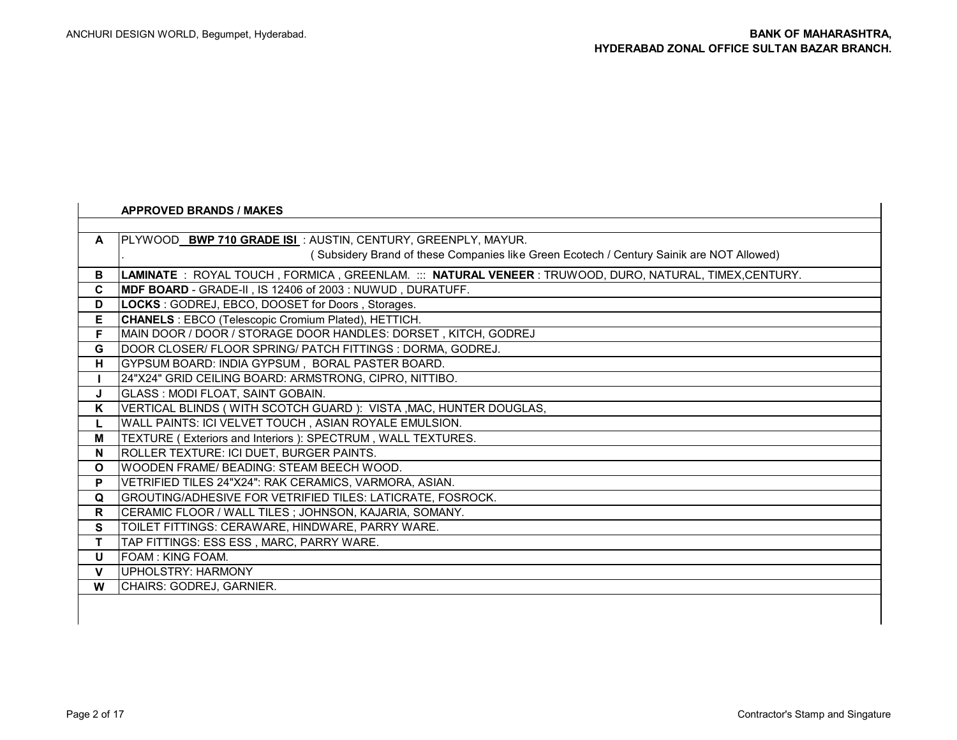|              | <b>APPROVED BRANDS / MAKES</b>                                                                          |
|--------------|---------------------------------------------------------------------------------------------------------|
|              |                                                                                                         |
| $\mathsf{A}$ | PLYWOOD BWP 710 GRADE ISL: AUSTIN, CENTURY, GREENPLY, MAYUR.                                            |
|              | (Subsidery Brand of these Companies like Green Ecotech / Century Sainik are NOT Allowed)                |
| В            | LAMINATE: ROYAL TOUCH , FORMICA , GREENLAM. ::: NATURAL VENEER : TRUWOOD, DURO, NATURAL, TIMEX,CENTURY. |
| C            | <b>MDF BOARD</b> - GRADE-II, IS 12406 of 2003: NUWUD, DURATUFF.                                         |
| D            | LOCKS: GODREJ, EBCO, DOOSET for Doors, Storages.                                                        |
| Е            | <b>CHANELS</b> : EBCO (Telescopic Cromium Plated), HETTICH.                                             |
| F.           | MAIN DOOR / DOOR / STORAGE DOOR HANDLES: DORSET, KITCH, GODREJ                                          |
| G            | DOOR CLOSER/ FLOOR SPRING/ PATCH FITTINGS : DORMA, GODREJ.                                              |
| Н.           | GYPSUM BOARD: INDIA GYPSUM, BORAL PASTER BOARD.                                                         |
|              | 24"X24" GRID CEILING BOARD: ARMSTRONG, CIPRO, NITTIBO.                                                  |
| J            | <b>GLASS : MODI FLOAT, SAINT GOBAIN.</b>                                                                |
| K            | VERTICAL BLINDS (WITH SCOTCH GUARD ): VISTA , MAC, HUNTER DOUGLAS,                                      |
|              | WALL PAINTS: ICI VELVET TOUCH, ASIAN ROYALE EMULSION.                                                   |
| Μ            | TEXTURE (Exteriors and Interiors ): SPECTRUM, WALL TEXTURES.                                            |
| N            | ROLLER TEXTURE: ICI DUET, BURGER PAINTS.                                                                |
| $\mathbf{o}$ | WOODEN FRAME/ BEADING: STEAM BEECH WOOD.                                                                |
| P            | VETRIFIED TILES 24"X24": RAK CERAMICS, VARMORA, ASIAN.                                                  |
| Q            | GROUTING/ADHESIVE FOR VETRIFIED TILES: LATICRATE, FOSROCK.                                              |
| R            | CERAMIC FLOOR / WALL TILES; JOHNSON, KAJARIA, SOMANY.                                                   |
| S            | TOILET FITTINGS: CERAWARE, HINDWARE, PARRY WARE.                                                        |
| T.           | TAP FITTINGS: ESS ESS, MARC, PARRY WARE.                                                                |
| U            | <b>FOAM: KING FOAM.</b>                                                                                 |
| $\mathbf{V}$ | UPHOLSTRY: HARMONY                                                                                      |
| W            | CHAIRS: GODREJ, GARNIER.                                                                                |
|              |                                                                                                         |

**I**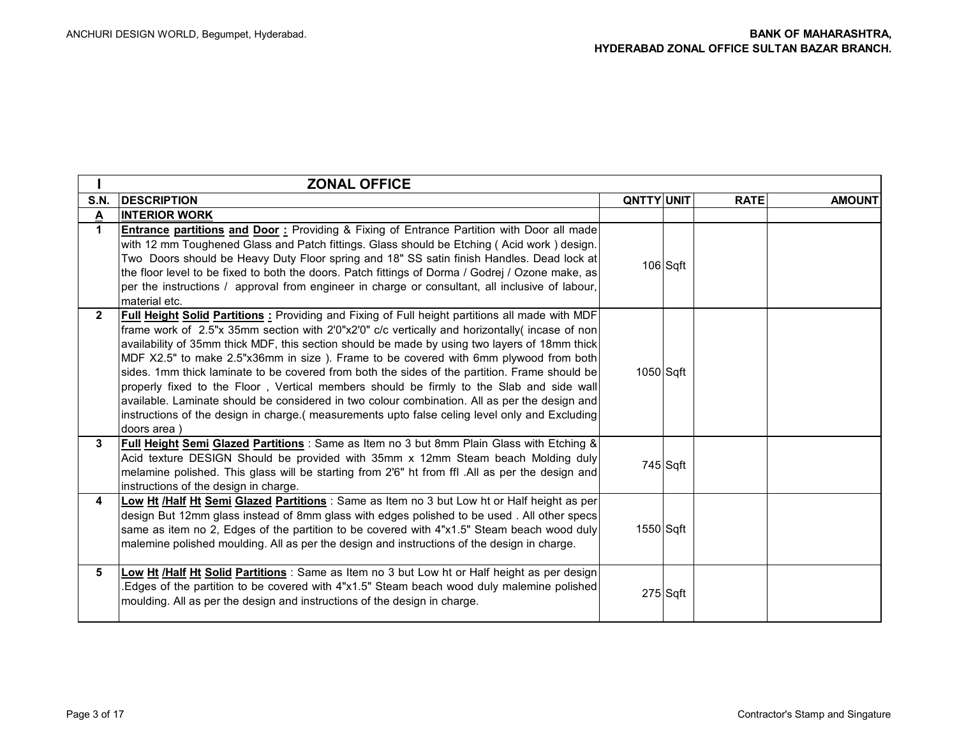|              | <b>ZONAL OFFICE</b>                                                                                                                                                                                                                                                                                                                                                                                                                                                                                                                                                                                                                                                                                                                                                                                             |                   |            |             |               |
|--------------|-----------------------------------------------------------------------------------------------------------------------------------------------------------------------------------------------------------------------------------------------------------------------------------------------------------------------------------------------------------------------------------------------------------------------------------------------------------------------------------------------------------------------------------------------------------------------------------------------------------------------------------------------------------------------------------------------------------------------------------------------------------------------------------------------------------------|-------------------|------------|-------------|---------------|
| <b>S.N.</b>  | <b>IDESCRIPTION</b>                                                                                                                                                                                                                                                                                                                                                                                                                                                                                                                                                                                                                                                                                                                                                                                             | <b>QNTTY UNIT</b> |            | <b>RATE</b> | <b>AMOUNT</b> |
| $\Delta$     | <b>INTERIOR WORK</b>                                                                                                                                                                                                                                                                                                                                                                                                                                                                                                                                                                                                                                                                                                                                                                                            |                   |            |             |               |
| $\mathbf 1$  | <b>Entrance partitions and Door:</b> Providing & Fixing of Entrance Partition with Door all made<br>with 12 mm Toughened Glass and Patch fittings. Glass should be Etching (Acid work) design.<br>Two Doors should be Heavy Duty Floor spring and 18" SS satin finish Handles. Dead lock at<br>the floor level to be fixed to both the doors. Patch fittings of Dorma / Godrej / Ozone make, as<br>per the instructions / approval from engineer in charge or consultant, all inclusive of labour,<br>material etc.                                                                                                                                                                                                                                                                                             |                   | $106$ Sqft |             |               |
| $\mathbf{2}$ | <b>Full Height Solid Partitions:</b> Providing and Fixing of Full height partitions all made with MDF<br>frame work of 2.5"x 35mm section with 2'0"x2'0" c/c vertically and horizontally (incase of non<br>availability of 35mm thick MDF, this section should be made by using two layers of 18mm thick<br>MDF X2.5" to make 2.5"x36mm in size). Frame to be covered with 6mm plywood from both<br>sides. 1mm thick laminate to be covered from both the sides of the partition. Frame should be<br>properly fixed to the Floor, Vertical members should be firmly to the Slab and side wall<br>available. Laminate should be considered in two colour combination. All as per the design and<br>instructions of the design in charge. (measurements upto false celing level only and Excluding<br>doors area) | 1050 Sqft         |            |             |               |
| 3            | Full Height Semi Glazed Partitions : Same as Item no 3 but 8mm Plain Glass with Etching &<br>Acid texture DESIGN Should be provided with 35mm x 12mm Steam beach Molding duly<br>melamine polished. This glass will be starting from 2'6" ht from ffl .All as per the design and<br>instructions of the design in charge.                                                                                                                                                                                                                                                                                                                                                                                                                                                                                       |                   | $745$ Sqft |             |               |
| 4            | Low Ht /Half Ht Semi Glazed Partitions : Same as Item no 3 but Low ht or Half height as per<br>design But 12mm glass instead of 8mm glass with edges polished to be used . All other specs<br>same as item no 2, Edges of the partition to be covered with 4"x1.5" Steam beach wood duly<br>malemine polished moulding. All as per the design and instructions of the design in charge.                                                                                                                                                                                                                                                                                                                                                                                                                         | 1550 Sqft         |            |             |               |
| 5.           | Low Ht /Half Ht Solid Partitions : Same as Item no 3 but Low ht or Half height as per design<br>Edges of the partition to be covered with 4"x1.5" Steam beach wood duly malemine polished<br>moulding. All as per the design and instructions of the design in charge.                                                                                                                                                                                                                                                                                                                                                                                                                                                                                                                                          |                   | $275$ Sqft |             |               |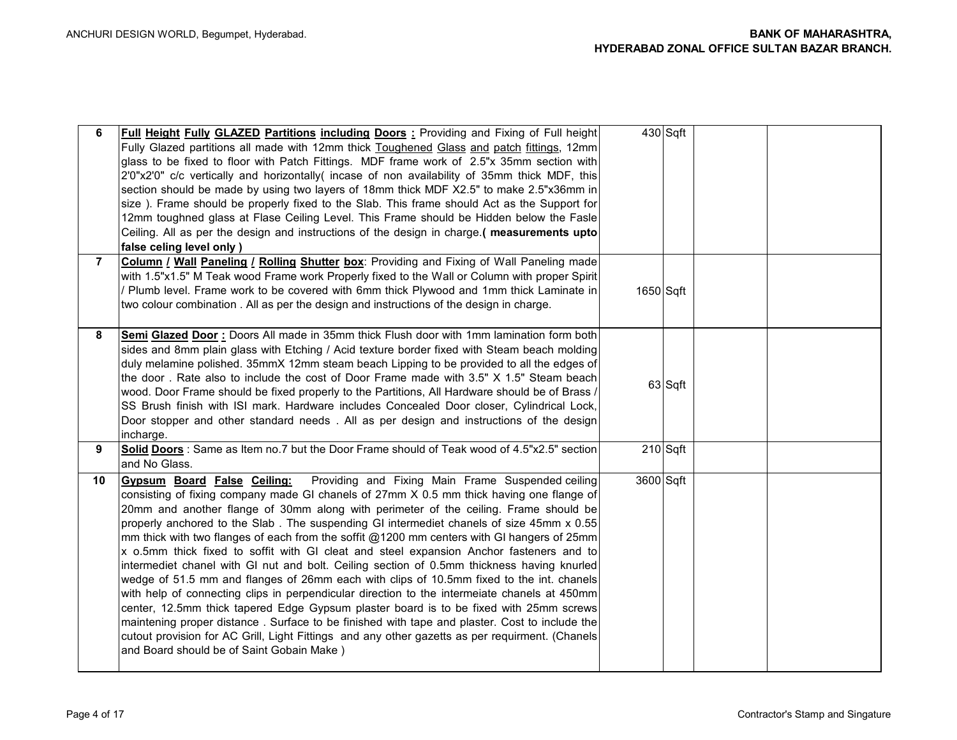| 6              | <b>Full Height Fully GLAZED Partitions including Doors:</b> Providing and Fixing of Full height<br>Fully Glazed partitions all made with 12mm thick Toughened Glass and patch fittings, 12mm<br>glass to be fixed to floor with Patch Fittings. MDF frame work of 2.5"x 35mm section with<br>2'0"x2'0" c/c vertically and horizontally( incase of non availability of 35mm thick MDF, this<br>section should be made by using two layers of 18mm thick MDF X2.5" to make 2.5"x36mm in<br>size). Frame should be properly fixed to the Slab. This frame should Act as the Support for<br>12mm toughned glass at Flase Ceiling Level. This Frame should be Hidden below the Fasle<br>Ceiling. All as per the design and instructions of the design in charge. (measurements upto<br>false celing level only )                                                                                                                                                                                                                                                                                                                                                                                           |           | 430 Sqft   |  |
|----------------|-------------------------------------------------------------------------------------------------------------------------------------------------------------------------------------------------------------------------------------------------------------------------------------------------------------------------------------------------------------------------------------------------------------------------------------------------------------------------------------------------------------------------------------------------------------------------------------------------------------------------------------------------------------------------------------------------------------------------------------------------------------------------------------------------------------------------------------------------------------------------------------------------------------------------------------------------------------------------------------------------------------------------------------------------------------------------------------------------------------------------------------------------------------------------------------------------------|-----------|------------|--|
| $\overline{7}$ | <b>Column / Wall Paneling / Rolling Shutter box:</b> Providing and Fixing of Wall Paneling made<br>with 1.5"x1.5" M Teak wood Frame work Properly fixed to the Wall or Column with proper Spirit<br>' Plumb level. Frame work to be covered with 6mm thick Plywood and 1mm thick Laminate in<br>two colour combination. All as per the design and instructions of the design in charge.                                                                                                                                                                                                                                                                                                                                                                                                                                                                                                                                                                                                                                                                                                                                                                                                               | 1650 Sqft |            |  |
| 8              | Semi Glazed Door: Doors All made in 35mm thick Flush door with 1mm lamination form both<br>sides and 8mm plain glass with Etching / Acid texture border fixed with Steam beach molding<br>duly melamine polished. 35mmX 12mm steam beach Lipping to be provided to all the edges of<br>the door. Rate also to include the cost of Door Frame made with 3.5" X 1.5" Steam beach<br>wood. Door Frame should be fixed properly to the Partitions, All Hardware should be of Brass /<br>SS Brush finish with ISI mark. Hardware includes Concealed Door closer, Cylindrical Lock,<br>Door stopper and other standard needs. All as per design and instructions of the design<br>incharge.                                                                                                                                                                                                                                                                                                                                                                                                                                                                                                                 |           | 63 Sqft    |  |
| 9              | Solid Doors: Same as Item no.7 but the Door Frame should of Teak wood of 4.5"x2.5" section<br>and No Glass.                                                                                                                                                                                                                                                                                                                                                                                                                                                                                                                                                                                                                                                                                                                                                                                                                                                                                                                                                                                                                                                                                           |           | $210$ Sqft |  |
| 10             | Providing and Fixing Main Frame Suspended ceiling<br><b>Gypsum Board False Ceiling:</b><br>consisting of fixing company made GI chanels of 27mm X 0.5 mm thick having one flange of<br>20mm and another flange of 30mm along with perimeter of the ceiling. Frame should be<br>properly anchored to the Slab. The suspending GI intermediet chanels of size 45mm x 0.55<br>mm thick with two flanges of each from the soffit @1200 mm centers with GI hangers of 25mm<br>x o.5mm thick fixed to soffit with GI cleat and steel expansion Anchor fasteners and to<br>intermediet chanel with GI nut and bolt. Ceiling section of 0.5mm thickness having knurled<br>wedge of 51.5 mm and flanges of 26mm each with clips of 10.5mm fixed to the int. chanels<br>with help of connecting clips in perpendicular direction to the intermeiate chanels at 450mm<br>center, 12.5mm thick tapered Edge Gypsum plaster board is to be fixed with 25mm screws<br>maintening proper distance. Surface to be finished with tape and plaster. Cost to include the<br>cutout provision for AC Grill, Light Fittings and any other gazetts as per requirment. (Chanels<br>and Board should be of Saint Gobain Make) | 3600 Sqft |            |  |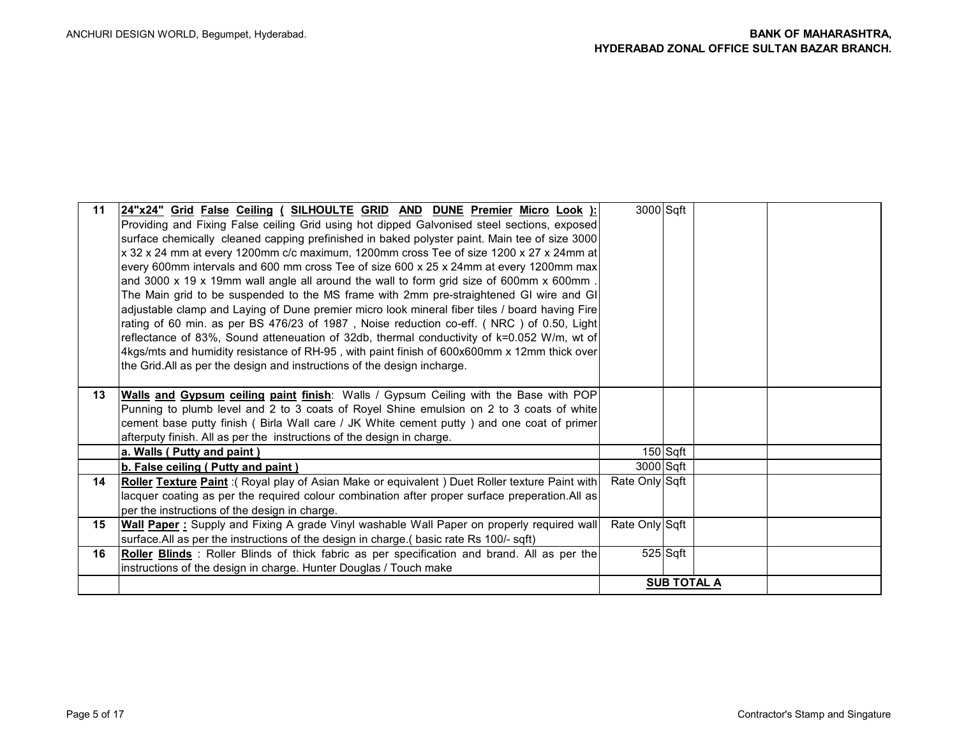| 11 | 24"x24" Grid False Ceiling ( SILHOULTE GRID AND DUNE Premier Micro Look ):                          | 3000 Sqft      |                    |  |
|----|-----------------------------------------------------------------------------------------------------|----------------|--------------------|--|
|    | Providing and Fixing False ceiling Grid using hot dipped Galvonised steel sections, exposed         |                |                    |  |
|    | surface chemically cleaned capping prefinished in baked polyster paint. Main tee of size 3000       |                |                    |  |
|    | x 32 x 24 mm at every 1200mm c/c maximum, 1200mm cross Tee of size 1200 x 27 x 24mm at              |                |                    |  |
|    |                                                                                                     |                |                    |  |
|    | every 600mm intervals and 600 mm cross Tee of size 600 x 25 x 24mm at every 1200mm max              |                |                    |  |
|    | and 3000 x 19 x 19mm wall angle all around the wall to form grid size of 600mm x 600mm.             |                |                    |  |
|    | The Main grid to be suspended to the MS frame with 2mm pre-straightened GI wire and GI              |                |                    |  |
|    | adjustable clamp and Laying of Dune premier micro look mineral fiber tiles / board having Fire      |                |                    |  |
|    | rating of 60 min. as per BS 476/23 of 1987, Noise reduction co-eff. (NRC) of 0.50, Light            |                |                    |  |
|    | reflectance of 83%, Sound atteneuation of 32db, thermal conductivity of k=0.052 W/m, wt of          |                |                    |  |
|    | 4kgs/mts and humidity resistance of RH-95, with paint finish of 600x600mm x 12mm thick over         |                |                    |  |
|    | the Grid. All as per the design and instructions of the design incharge.                            |                |                    |  |
|    |                                                                                                     |                |                    |  |
| 13 | <b>Walls and Gypsum ceiling paint finish:</b> Walls / Gypsum Ceiling with the Base with POP         |                |                    |  |
|    | Punning to plumb level and 2 to 3 coats of Royel Shine emulsion on 2 to 3 coats of white            |                |                    |  |
|    | cement base putty finish ( Birla Wall care / JK White cement putty ) and one coat of primer         |                |                    |  |
|    | afterputy finish. All as per the instructions of the design in charge.                              |                |                    |  |
|    | a. Walls (Putty and paint)                                                                          |                | 150 Sqft           |  |
|    | b. False ceiling (Putty and paint)                                                                  | 3000 Sqft      |                    |  |
| 14 | Roller Texture Paint: (Royal play of Asian Make or equivalent) Duet Roller texture Paint with       | Rate Only Sqft |                    |  |
|    | lacquer coating as per the required colour combination after proper surface preperation. All as     |                |                    |  |
|    | per the instructions of the design in charge.                                                       |                |                    |  |
| 15 | <b>Wall Paper:</b> Supply and Fixing A grade Vinyl washable Wall Paper on properly required wall    | Rate Only Sqft |                    |  |
|    | surface. All as per the instructions of the design in charge. (basic rate Rs 100/-sqft)             |                |                    |  |
| 16 | <b>Roller Blinds</b> : Roller Blinds of thick fabric as per specification and brand. All as per the |                | 525 Sqft           |  |
|    | instructions of the design in charge. Hunter Douglas / Touch make                                   |                |                    |  |
|    |                                                                                                     |                | <b>SUB TOTAL A</b> |  |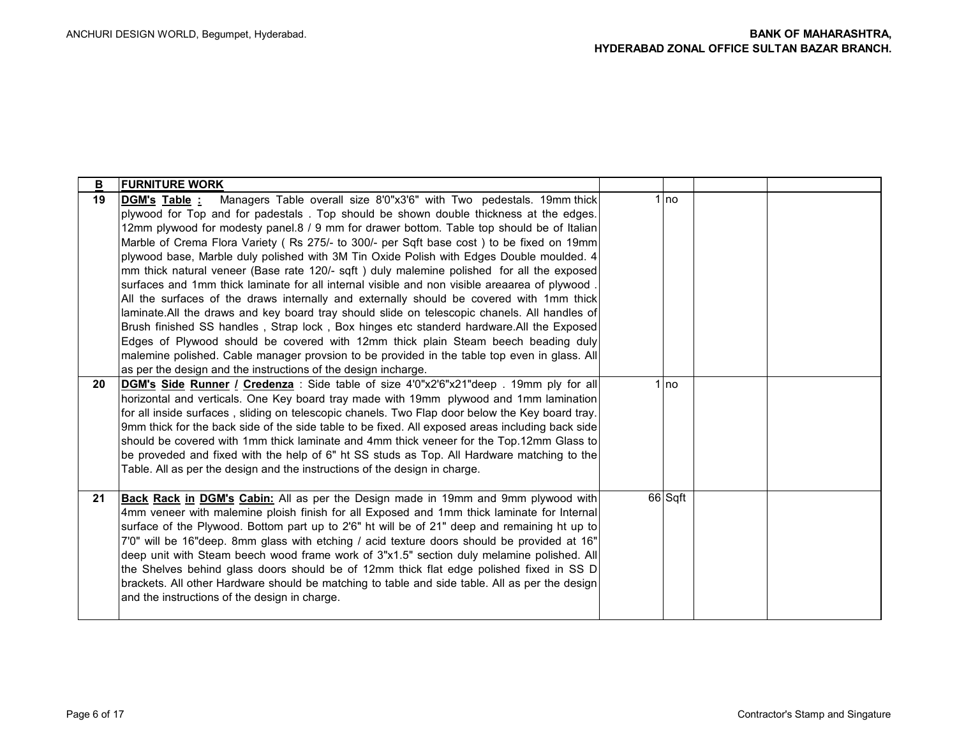| <u>B</u> | <b>FURNITURE WORK</b>                                                                            |         |  |
|----------|--------------------------------------------------------------------------------------------------|---------|--|
| 19       | Managers Table overall size 8'0"x3'6" with Two pedestals. 19mm thick<br>DGM's Table :            | 1 Ino   |  |
|          | plywood for Top and for padestals. Top should be shown double thickness at the edges.            |         |  |
|          | 12mm plywood for modesty panel.8 / 9 mm for drawer bottom. Table top should be of Italian        |         |  |
|          | Marble of Crema Flora Variety (Rs 275/- to 300/- per Sqft base cost) to be fixed on 19mm         |         |  |
|          | plywood base, Marble duly polished with 3M Tin Oxide Polish with Edges Double moulded. 4         |         |  |
|          | mm thick natural veneer (Base rate 120/- sqft) duly malemine polished for all the exposed        |         |  |
|          | surfaces and 1mm thick laminate for all internal visible and non visible areaarea of plywood     |         |  |
|          | All the surfaces of the draws internally and externally should be covered with 1mm thick         |         |  |
|          | laminate.All the draws and key board tray should slide on telescopic chanels. All handles of     |         |  |
|          | Brush finished SS handles, Strap lock, Box hinges etc standerd hardware.All the Exposed          |         |  |
|          | Edges of Plywood should be covered with 12mm thick plain Steam beech beading duly                |         |  |
|          | malemine polished. Cable manager provsion to be provided in the table top even in glass. All     |         |  |
|          | as per the design and the instructions of the design incharge.                                   |         |  |
| 20       | DGM's Side Runner / Credenza: Side table of size 4'0"x2'6"x21"deep . 19mm ply for all            | 1 Ino   |  |
|          | horizontal and verticals. One Key board tray made with 19mm plywood and 1mm lamination           |         |  |
|          | for all inside surfaces, sliding on telescopic chanels. Two Flap door below the Key board tray.  |         |  |
|          | 9mm thick for the back side of the side table to be fixed. All exposed areas including back side |         |  |
|          | should be covered with 1mm thick laminate and 4mm thick veneer for the Top.12mm Glass to         |         |  |
|          | be proveded and fixed with the help of 6" ht SS studs as Top. All Hardware matching to the       |         |  |
|          | Table. All as per the design and the instructions of the design in charge.                       |         |  |
|          |                                                                                                  |         |  |
| 21       | Back Rack in DGM's Cabin: All as per the Design made in 19mm and 9mm plywood with                | 66 Sqft |  |
|          | 4mm veneer with malemine ploish finish for all Exposed and 1mm thick laminate for Internal       |         |  |
|          | surface of the Plywood. Bottom part up to 2'6" ht will be of 21" deep and remaining ht up to     |         |  |
|          | 7'0" will be 16"deep. 8mm glass with etching / acid texture doors should be provided at 16"      |         |  |
|          | deep unit with Steam beech wood frame work of 3"x1.5" section duly melamine polished. All        |         |  |
|          | the Shelves behind glass doors should be of 12mm thick flat edge polished fixed in SS D          |         |  |
|          | brackets. All other Hardware should be matching to table and side table. All as per the design   |         |  |
|          | and the instructions of the design in charge.                                                    |         |  |
|          |                                                                                                  |         |  |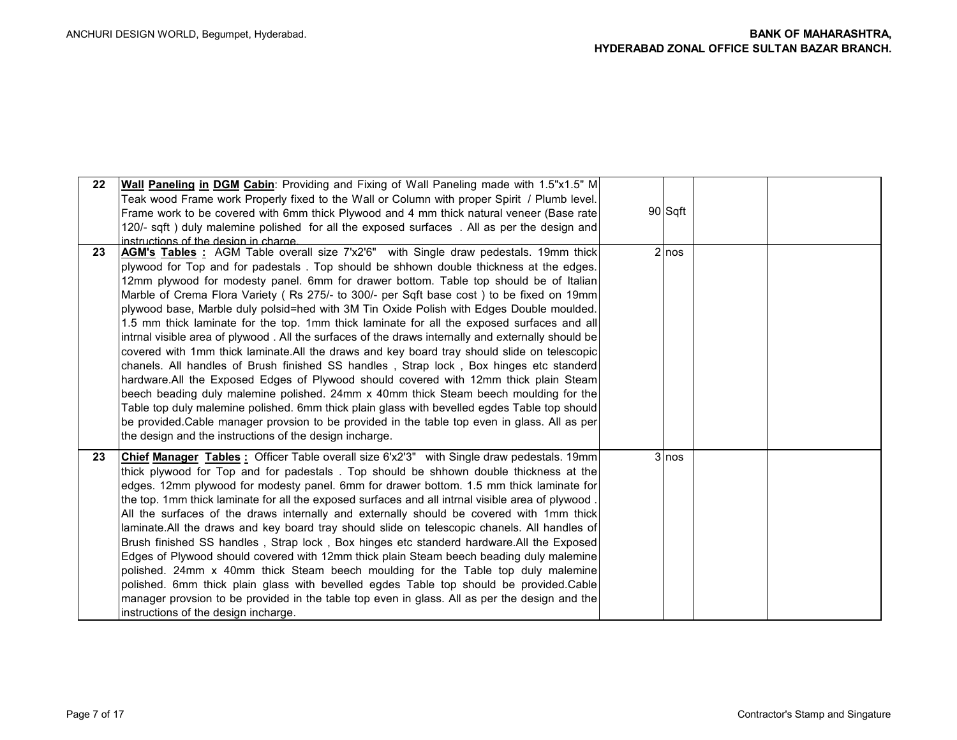| 22 | <b>Wall Paneling in DGM Cabin:</b> Providing and Fixing of Wall Paneling made with 1.5"x1.5" M<br>Teak wood Frame work Properly fixed to the Wall or Column with proper Spirit / Plumb level.<br>Frame work to be covered with 6mm thick Plywood and 4 mm thick natural veneer (Base rate)<br>120/- sqft) duly malemine polished for all the exposed surfaces . All as per the design and<br>instructions of the design in charge.                                                                                                                                                                                                                                                                                                                                                                                                                                                                                                                                                                                                                                                                                                                                                                                                                                                                       | 90 Sqft |  |
|----|----------------------------------------------------------------------------------------------------------------------------------------------------------------------------------------------------------------------------------------------------------------------------------------------------------------------------------------------------------------------------------------------------------------------------------------------------------------------------------------------------------------------------------------------------------------------------------------------------------------------------------------------------------------------------------------------------------------------------------------------------------------------------------------------------------------------------------------------------------------------------------------------------------------------------------------------------------------------------------------------------------------------------------------------------------------------------------------------------------------------------------------------------------------------------------------------------------------------------------------------------------------------------------------------------------|---------|--|
| 23 | AGM's Tables: AGM Table overall size 7'x2'6" with Single draw pedestals. 19mm thick<br>plywood for Top and for padestals. Top should be shhown double thickness at the edges.<br>12mm plywood for modesty panel. 6mm for drawer bottom. Table top should be of Italian<br>Marble of Crema Flora Variety (Rs 275/- to 300/- per Sqft base cost) to be fixed on 19mm<br>plywood base, Marble duly polsid=hed with 3M Tin Oxide Polish with Edges Double moulded.<br>1.5 mm thick laminate for the top. 1mm thick laminate for all the exposed surfaces and all<br>intrnal visible area of plywood. All the surfaces of the draws internally and externally should be<br>covered with 1mm thick laminate. All the draws and key board tray should slide on telescopic<br>chanels. All handles of Brush finished SS handles, Strap lock, Box hinges etc standerd<br>hardware.All the Exposed Edges of Plywood should covered with 12mm thick plain Steam<br>beech beading duly malemine polished. 24mm x 40mm thick Steam beech moulding for the<br>Table top duly malemine polished. 6mm thick plain glass with bevelled egdes Table top should<br>be provided. Cable manager provsion to be provided in the table top even in glass. All as per<br>the design and the instructions of the design incharge. | $2$ nos |  |
| 23 | <b>Chief Manager Tables:</b> Officer Table overall size 6'x2'3" with Single draw pedestals. 19mm<br>thick plywood for Top and for padestals . Top should be shhown double thickness at the<br>edges. 12mm plywood for modesty panel. 6mm for drawer bottom. 1.5 mm thick laminate for<br>the top. 1mm thick laminate for all the exposed surfaces and all intrnal visible area of plywood.<br>All the surfaces of the draws internally and externally should be covered with 1mm thick<br>laminate.All the draws and key board tray should slide on telescopic chanels. All handles of<br>Brush finished SS handles, Strap lock, Box hinges etc standerd hardware.All the Exposed<br>Edges of Plywood should covered with 12mm thick plain Steam beech beading duly malemine<br>polished. 24mm x 40mm thick Steam beech moulding for the Table top duly malemine<br>polished. 6mm thick plain glass with bevelled egdes Table top should be provided.Cable<br>manager provsion to be provided in the table top even in glass. All as per the design and the<br>instructions of the design incharge.                                                                                                                                                                                                      | 3 nos   |  |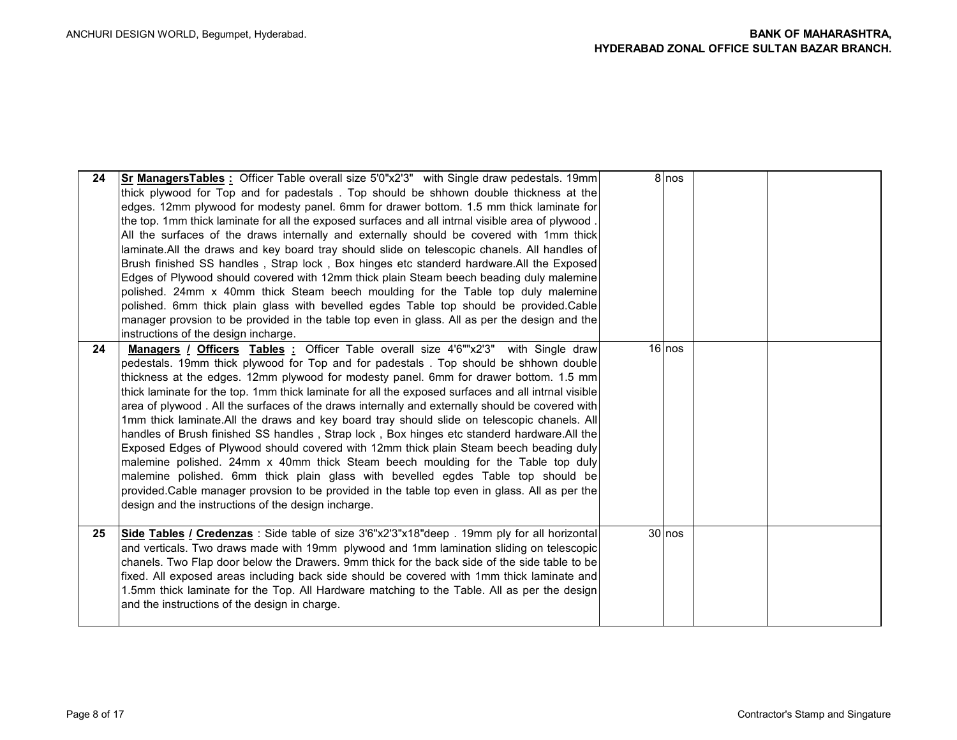| 24 | <b>Sr ManagersTables:</b> Officer Table overall size 5'0"x2'3" with Single draw pedestals. 19mm<br>thick plywood for Top and for padestals . Top should be shhown double thickness at the<br>edges. 12mm plywood for modesty panel. 6mm for drawer bottom. 1.5 mm thick laminate for<br>the top. 1mm thick laminate for all the exposed surfaces and all intrnal visible area of plywood.<br>All the surfaces of the draws internally and externally should be covered with 1mm thick<br>laminate.All the draws and key board tray should slide on telescopic chanels. All handles of<br>Brush finished SS handles, Strap lock, Box hinges etc standerd hardware.All the Exposed<br>Edges of Plywood should covered with 12mm thick plain Steam beech beading duly malemine<br>polished. 24mm x 40mm thick Steam beech moulding for the Table top duly malemine<br>polished. 6mm thick plain glass with bevelled egdes Table top should be provided.Cable<br>manager provsion to be provided in the table top even in glass. All as per the design and the                                                                                                     |          | 8 nos |  |
|----|----------------------------------------------------------------------------------------------------------------------------------------------------------------------------------------------------------------------------------------------------------------------------------------------------------------------------------------------------------------------------------------------------------------------------------------------------------------------------------------------------------------------------------------------------------------------------------------------------------------------------------------------------------------------------------------------------------------------------------------------------------------------------------------------------------------------------------------------------------------------------------------------------------------------------------------------------------------------------------------------------------------------------------------------------------------------------------------------------------------------------------------------------------------|----------|-------|--|
| 24 | instructions of the design incharge.<br><b>Managers</b> <i>I</i> Officers Tables : Officer Table overall size 4'6""x2'3" with Single draw<br>pedestals. 19mm thick plywood for Top and for padestals . Top should be shhown double<br>thickness at the edges. 12mm plywood for modesty panel. 6mm for drawer bottom. 1.5 mm<br>thick laminate for the top. 1mm thick laminate for all the exposed surfaces and all intrnal visible<br>area of plywood. All the surfaces of the draws internally and externally should be covered with<br>1mm thick laminate. All the draws and key board tray should slide on telescopic chanels. All<br>handles of Brush finished SS handles, Strap lock, Box hinges etc standerd hardware. All the<br>Exposed Edges of Plywood should covered with 12mm thick plain Steam beech beading duly<br>malemine polished. 24mm x 40mm thick Steam beech moulding for the Table top duly<br>malemine polished. 6mm thick plain glass with bevelled egdes Table top should be<br>provided.Cable manager provsion to be provided in the table top even in glass. All as per the<br>design and the instructions of the design incharge. | $16$ nos |       |  |
| 25 | Side Tables / Credenzas : Side table of size 3'6"x2'3"x18"deep . 19mm ply for all horizontal<br>and verticals. Two draws made with 19mm plywood and 1mm lamination sliding on telescopic<br>chanels. Two Flap door below the Drawers. 9mm thick for the back side of the side table to be<br>fixed. All exposed areas including back side should be covered with 1mm thick laminate and<br>1.5mm thick laminate for the Top. All Hardware matching to the Table. All as per the design<br>and the instructions of the design in charge.                                                                                                                                                                                                                                                                                                                                                                                                                                                                                                                                                                                                                        | 30 nos   |       |  |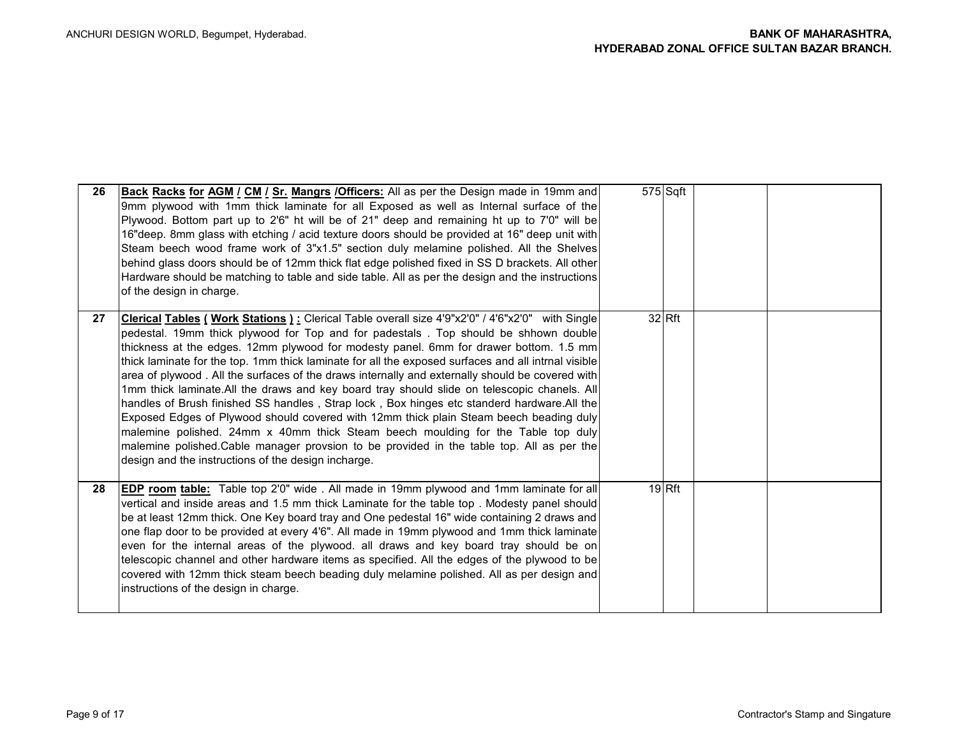| 26 | <b>Back Racks for AGM / CM / Sr. Mangrs / Officers:</b> All as per the Design made in 19mm and<br>9mm plywood with 1mm thick laminate for all Exposed as well as Internal surface of the<br>Plywood. Bottom part up to 2'6" ht will be of 21" deep and remaining ht up to 7'0" will be<br>16" deep. 8mm glass with etching / acid texture doors should be provided at 16" deep unit with<br>Steam beech wood frame work of 3"x1.5" section duly melamine polished. All the Shelves<br>behind glass doors should be of 12mm thick flat edge polished fixed in SS D brackets. All other<br>Hardware should be matching to table and side table. All as per the design and the instructions<br>of the design in charge.                                                                                                                                                                                                                                                                                                        | $575$ Sqft |  |
|----|-----------------------------------------------------------------------------------------------------------------------------------------------------------------------------------------------------------------------------------------------------------------------------------------------------------------------------------------------------------------------------------------------------------------------------------------------------------------------------------------------------------------------------------------------------------------------------------------------------------------------------------------------------------------------------------------------------------------------------------------------------------------------------------------------------------------------------------------------------------------------------------------------------------------------------------------------------------------------------------------------------------------------------|------------|--|
| 27 | Clerical Tables ( Work Stations ): Clerical Table overall size 4'9"x2'0" / 4'6"x2'0" with Single<br>pedestal. 19mm thick plywood for Top and for padestals. Top should be shhown double<br>thickness at the edges. 12mm plywood for modesty panel. 6mm for drawer bottom. 1.5 mm<br>thick laminate for the top. 1mm thick laminate for all the exposed surfaces and all intrnal visible<br>area of plywood. All the surfaces of the draws internally and externally should be covered with<br>1mm thick laminate. All the draws and key board tray should slide on telescopic chanels. All<br>handles of Brush finished SS handles, Strap lock, Box hinges etc standerd hardware. All the<br>Exposed Edges of Plywood should covered with 12mm thick plain Steam beech beading duly<br>malemine polished. 24mm x 40mm thick Steam beech moulding for the Table top duly<br>malemine polished. Cable manager provsion to be provided in the table top. All as per the<br>design and the instructions of the design incharge. | $32$ Rft   |  |
| 28 | <b>EDP</b> room table: Table top 2'0" wide . All made in 19mm plywood and 1mm laminate for all<br>vertical and inside areas and 1.5 mm thick Laminate for the table top. Modesty panel should<br>be at least 12mm thick. One Key board tray and One pedestal 16" wide containing 2 draws and<br>one flap door to be provided at every 4'6". All made in 19mm plywood and 1mm thick laminate<br>even for the internal areas of the plywood. all draws and key board tray should be on<br>telescopic channel and other hardware items as specified. All the edges of the plywood to be<br>covered with 12mm thick steam beech beading duly melamine polished. All as per design and<br>instructions of the design in charge.                                                                                                                                                                                                                                                                                                  | $19$ Rft   |  |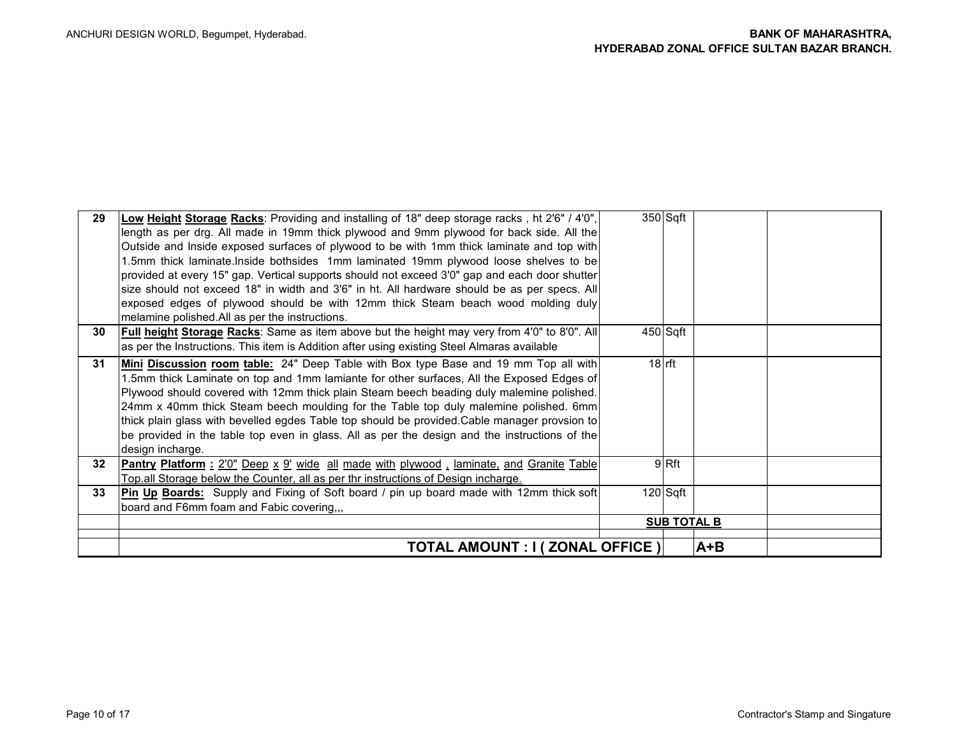| 29              | Low Height Storage Racks: Providing and installing of 18" deep storage racks, ht 2'6" / 4'0",<br>length as per drg. All made in 19mm thick plywood and 9mm plywood for back side. All the<br>Outside and Inside exposed surfaces of plywood to be with 1mm thick laminate and top with<br>1.5mm thick laminate.Inside bothsides 1mm laminated 19mm plywood loose shelves to be<br>provided at every 15" gap. Vertical supports should not exceed 3'0" gap and each door shutter                                                                                                             | $350$ Sqft         |     |  |
|-----------------|---------------------------------------------------------------------------------------------------------------------------------------------------------------------------------------------------------------------------------------------------------------------------------------------------------------------------------------------------------------------------------------------------------------------------------------------------------------------------------------------------------------------------------------------------------------------------------------------|--------------------|-----|--|
|                 | size should not exceed 18" in width and 3'6" in ht. All hardware should be as per specs. All<br>exposed edges of plywood should be with 12mm thick Steam beach wood molding duly<br>melamine polished. All as per the instructions.                                                                                                                                                                                                                                                                                                                                                         |                    |     |  |
| 30              | <b>Full height Storage Racks:</b> Same as item above but the height may very from 4'0" to 8'0". All<br>as per the Instructions. This item is Addition after using existing Steel Almaras available                                                                                                                                                                                                                                                                                                                                                                                          | 450 Sqft           |     |  |
| 31              | Mini Discussion room table: 24" Deep Table with Box type Base and 19 mm Top all with<br>1.5mm thick Laminate on top and 1mm lamiante for other surfaces, All the Exposed Edges of<br>Plywood should covered with 12mm thick plain Steam beech beading duly malemine polished.<br>24mm x 40mm thick Steam beech moulding for the Table top duly malemine polished. 6mm<br>thick plain glass with bevelled egdes Table top should be provided. Cable manager provsion to<br>be provided in the table top even in glass. All as per the design and the instructions of the<br>design incharge. | $18$ rft           |     |  |
| 32 <sub>2</sub> | Pantry Platform: 2'0" Deep x 9' wide all made with plywood, laminate, and Granite Table<br>Top.all Storage below the Counter, all as per thr instructions of Design incharge.                                                                                                                                                                                                                                                                                                                                                                                                               | 9Rft               |     |  |
| 33              | Pin Up Boards: Supply and Fixing of Soft board / pin up board made with 12mm thick soft<br>board and F6mm foam and Fabic covering,,,                                                                                                                                                                                                                                                                                                                                                                                                                                                        | 120 Sqft           |     |  |
|                 |                                                                                                                                                                                                                                                                                                                                                                                                                                                                                                                                                                                             | <b>SUB TOTAL B</b> |     |  |
|                 | TOTAL AMOUNT : I ( ZONAL OFFICE )                                                                                                                                                                                                                                                                                                                                                                                                                                                                                                                                                           |                    | A+B |  |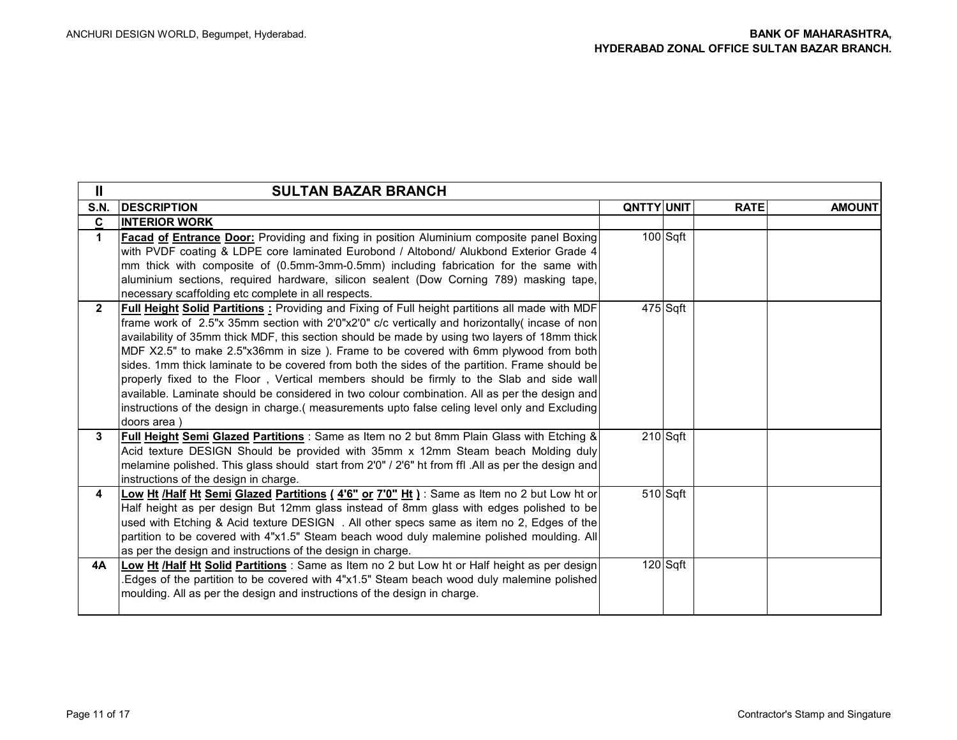| Ш            | <b>SULTAN BAZAR BRANCH</b>                                                                                                                                                                                                                                                                                                                                                                                                                                                                                                                                                                                                                                                                                                                                                                               |                   |            |             |               |
|--------------|----------------------------------------------------------------------------------------------------------------------------------------------------------------------------------------------------------------------------------------------------------------------------------------------------------------------------------------------------------------------------------------------------------------------------------------------------------------------------------------------------------------------------------------------------------------------------------------------------------------------------------------------------------------------------------------------------------------------------------------------------------------------------------------------------------|-------------------|------------|-------------|---------------|
| <b>S.N.</b>  | <b>DESCRIPTION</b>                                                                                                                                                                                                                                                                                                                                                                                                                                                                                                                                                                                                                                                                                                                                                                                       | <b>QNTTY UNIT</b> |            | <b>RATE</b> | <b>AMOUNT</b> |
| C            | <b>INTERIOR WORK</b>                                                                                                                                                                                                                                                                                                                                                                                                                                                                                                                                                                                                                                                                                                                                                                                     |                   |            |             |               |
| $\mathbf 1$  | <b>Facad of Entrance Door:</b> Providing and fixing in position Aluminium composite panel Boxing<br>with PVDF coating & LDPE core laminated Eurobond / Altobond/ Alukbond Exterior Grade 4                                                                                                                                                                                                                                                                                                                                                                                                                                                                                                                                                                                                               |                   | 100 Sqft   |             |               |
|              | mm thick with composite of (0.5mm-3mm-0.5mm) including fabrication for the same with                                                                                                                                                                                                                                                                                                                                                                                                                                                                                                                                                                                                                                                                                                                     |                   |            |             |               |
|              | aluminium sections, required hardware, silicon sealent (Dow Corning 789) masking tape,<br>necessary scaffolding etc complete in all respects.                                                                                                                                                                                                                                                                                                                                                                                                                                                                                                                                                                                                                                                            |                   |            |             |               |
| $\mathbf{2}$ | Full Height Solid Partitions: Providing and Fixing of Full height partitions all made with MDF<br>frame work of 2.5"x 35mm section with 2'0"x2'0" c/c vertically and horizontally incase of non<br>availability of 35mm thick MDF, this section should be made by using two layers of 18mm thick<br>MDF X2.5" to make 2.5"x36mm in size ). Frame to be covered with 6mm plywood from both<br>sides. 1mm thick laminate to be covered from both the sides of the partition. Frame should be<br>properly fixed to the Floor, Vertical members should be firmly to the Slab and side wall<br>available. Laminate should be considered in two colour combination. All as per the design and<br>instructions of the design in charge. (measurements upto false celing level only and Excluding<br>doors area) |                   | $475$ Sqft |             |               |
| 3            | Full Height Semi Glazed Partitions : Same as Item no 2 but 8mm Plain Glass with Etching &<br>Acid texture DESIGN Should be provided with 35mm x 12mm Steam beach Molding duly<br>melamine polished. This glass should start from 2'0" / 2'6" ht from ffl. All as per the design and<br>instructions of the design in charge.                                                                                                                                                                                                                                                                                                                                                                                                                                                                             |                   | $210$ Sqft |             |               |
| 4            | Low Ht /Half Ht Semi Glazed Partitions (4'6" or 7'0" Ht ) : Same as Item no 2 but Low ht or<br>Half height as per design But 12mm glass instead of 8mm glass with edges polished to be<br>used with Etching & Acid texture DESIGN . All other specs same as item no 2, Edges of the<br>partition to be covered with 4"x1.5" Steam beach wood duly malemine polished moulding. All<br>as per the design and instructions of the design in charge.                                                                                                                                                                                                                                                                                                                                                         |                   | $510$ Sqft |             |               |
| 4A           | Low Ht /Half Ht Solid Partitions : Same as Item no 2 but Low ht or Half height as per design<br>Edges of the partition to be covered with 4"x1.5" Steam beach wood duly malemine polished<br>moulding. All as per the design and instructions of the design in charge.                                                                                                                                                                                                                                                                                                                                                                                                                                                                                                                                   |                   | $120$ Sqft |             |               |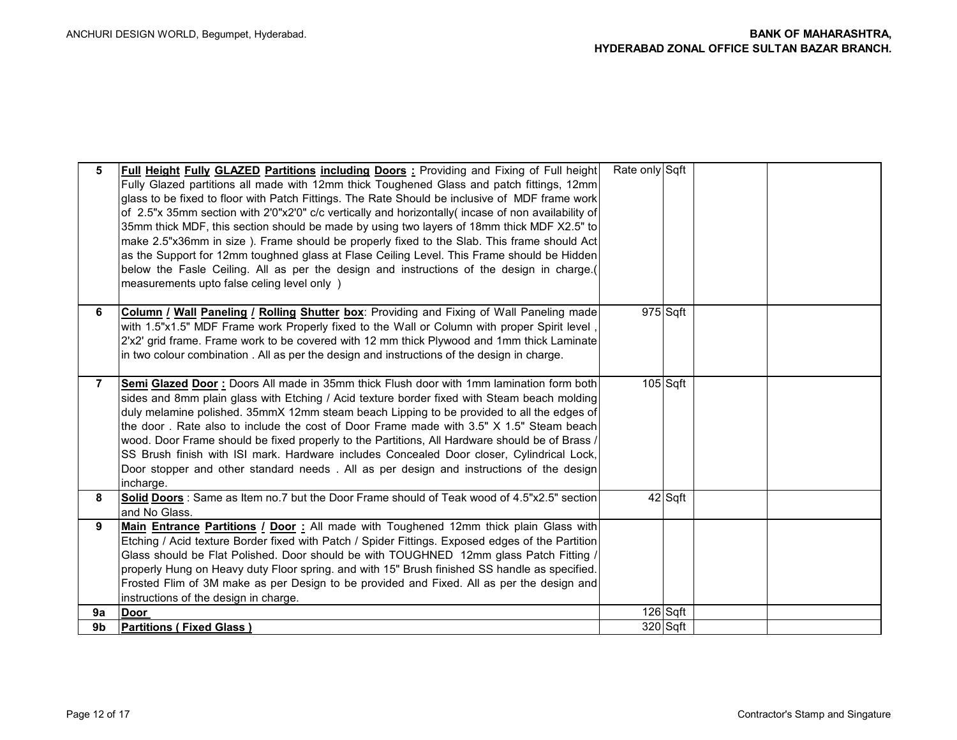| 5  | Full Height Fully GLAZED Partitions including Doors: Providing and Fixing of Full height<br>Fully Glazed partitions all made with 12mm thick Toughened Glass and patch fittings, 12mm<br>glass to be fixed to floor with Patch Fittings. The Rate Should be inclusive of MDF frame work<br>of 2.5"x 35mm section with 2'0"x2'0" c/c vertically and horizontally( incase of non availability of<br>35mm thick MDF, this section should be made by using two layers of 18mm thick MDF X2.5" to<br>make 2.5"x36mm in size). Frame should be properly fixed to the Slab. This frame should Act<br>as the Support for 12mm toughned glass at Flase Ceiling Level. This Frame should be Hidden<br>below the Fasle Ceiling. All as per the design and instructions of the design in charge.(<br>measurements upto false celing level only ) | Rate only Sqft |            |  |
|----|--------------------------------------------------------------------------------------------------------------------------------------------------------------------------------------------------------------------------------------------------------------------------------------------------------------------------------------------------------------------------------------------------------------------------------------------------------------------------------------------------------------------------------------------------------------------------------------------------------------------------------------------------------------------------------------------------------------------------------------------------------------------------------------------------------------------------------------|----------------|------------|--|
| 6. | <b>Column / Wall Paneling / Rolling Shutter box:</b> Providing and Fixing of Wall Paneling made<br>with 1.5"x1.5" MDF Frame work Properly fixed to the Wall or Column with proper Spirit level<br>2'x2' grid frame. Frame work to be covered with 12 mm thick Plywood and 1mm thick Laminate<br>in two colour combination. All as per the design and instructions of the design in charge.                                                                                                                                                                                                                                                                                                                                                                                                                                           |                | $975$ Sqft |  |
| 7  | Semi Glazed Door: Doors All made in 35mm thick Flush door with 1mm lamination form both<br>sides and 8mm plain glass with Etching / Acid texture border fixed with Steam beach molding<br>duly melamine polished. 35mmX 12mm steam beach Lipping to be provided to all the edges of<br>the door. Rate also to include the cost of Door Frame made with 3.5" X 1.5" Steam beach<br>wood. Door Frame should be fixed properly to the Partitions, All Hardware should be of Brass /<br>SS Brush finish with ISI mark. Hardware includes Concealed Door closer, Cylindrical Lock,<br>Door stopper and other standard needs. All as per design and instructions of the design<br>incharge.                                                                                                                                                |                | $105$ Sqft |  |
| 8  | Solid Doors : Same as Item no.7 but the Door Frame should of Teak wood of 4.5"x2.5" section<br>and No Glass.                                                                                                                                                                                                                                                                                                                                                                                                                                                                                                                                                                                                                                                                                                                         |                | 42 Sqft    |  |
| 9  | Main Entrance Partitions / Door: All made with Toughened 12mm thick plain Glass with<br>Etching / Acid texture Border fixed with Patch / Spider Fittings. Exposed edges of the Partition<br>Glass should be Flat Polished. Door should be with TOUGHNED 12mm glass Patch Fitting /<br>properly Hung on Heavy duty Floor spring. and with 15" Brush finished SS handle as specified.<br>Frosted Flim of 3M make as per Design to be provided and Fixed. All as per the design and<br>instructions of the design in charge.                                                                                                                                                                                                                                                                                                            |                |            |  |
| 9a | <b>Door</b>                                                                                                                                                                                                                                                                                                                                                                                                                                                                                                                                                                                                                                                                                                                                                                                                                          |                | $126$ Sqft |  |
| 9b | <b>Partitions (Fixed Glass)</b>                                                                                                                                                                                                                                                                                                                                                                                                                                                                                                                                                                                                                                                                                                                                                                                                      |                | $320$ Sqft |  |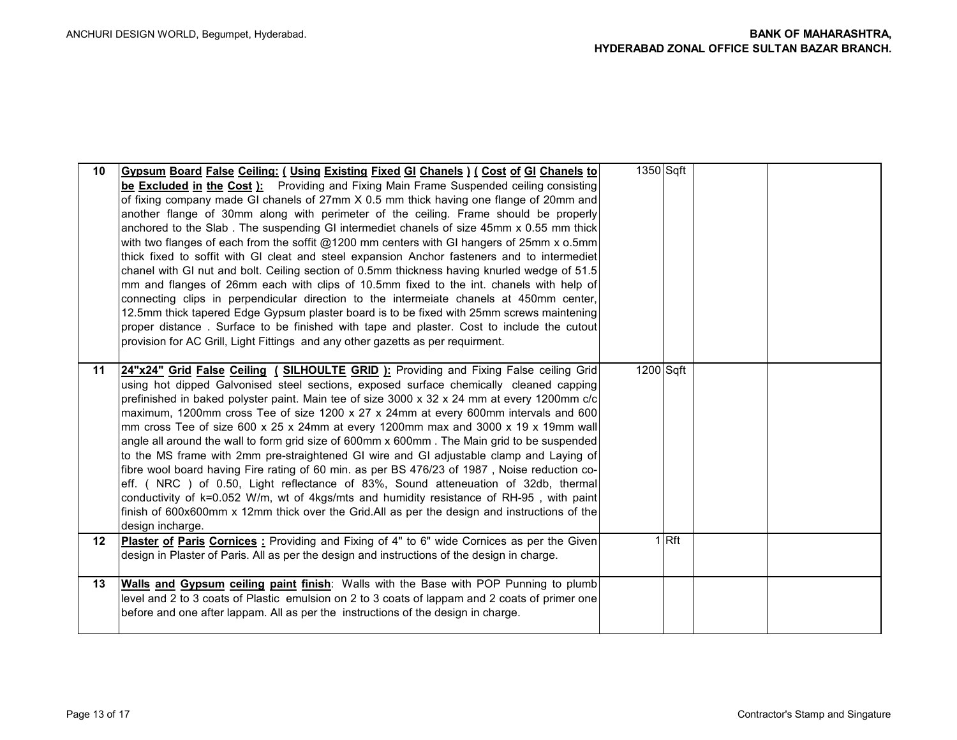| 10               | Gypsum Board False Ceiling: (Using Existing Fixed GI Chanels) ( Cost of GI Chanels to<br>be Excluded in the Cost ): Providing and Fixing Main Frame Suspended ceiling consisting<br>of fixing company made GI chanels of 27mm X 0.5 mm thick having one flange of 20mm and<br>another flange of 30mm along with perimeter of the ceiling. Frame should be properly<br>anchored to the Slab. The suspending GI intermediet chanels of size 45mm x 0.55 mm thick<br>with two flanges of each from the soffit @1200 mm centers with GI hangers of 25mm x o.5mm<br>thick fixed to soffit with GI cleat and steel expansion Anchor fasteners and to intermediet<br>chanel with GI nut and bolt. Ceiling section of 0.5mm thickness having knurled wedge of 51.5<br>mm and flanges of 26mm each with clips of 10.5mm fixed to the int. chanels with help of<br>connecting clips in perpendicular direction to the intermeiate chanels at 450mm center,<br>12.5mm thick tapered Edge Gypsum plaster board is to be fixed with 25mm screws maintening<br>proper distance. Surface to be finished with tape and plaster. Cost to include the cutout<br>provision for AC Grill, Light Fittings and any other gazetts as per requirment. | 1350 Sqft |       |  |
|------------------|-------------------------------------------------------------------------------------------------------------------------------------------------------------------------------------------------------------------------------------------------------------------------------------------------------------------------------------------------------------------------------------------------------------------------------------------------------------------------------------------------------------------------------------------------------------------------------------------------------------------------------------------------------------------------------------------------------------------------------------------------------------------------------------------------------------------------------------------------------------------------------------------------------------------------------------------------------------------------------------------------------------------------------------------------------------------------------------------------------------------------------------------------------------------------------------------------------------------------------|-----------|-------|--|
| 11               | 24"x24" Grid False Ceiling (SILHOULTE GRID): Providing and Fixing False ceiling Grid<br>using hot dipped Galvonised steel sections, exposed surface chemically cleaned capping<br>prefinished in baked polyster paint. Main tee of size 3000 x 32 x 24 mm at every 1200mm c/c<br>maximum, 1200mm cross Tee of size 1200 x 27 x 24mm at every 600mm intervals and 600<br>mm cross Tee of size 600 x 25 x 24mm at every 1200mm max and 3000 x 19 x 19mm wall<br>angle all around the wall to form grid size of 600mm x 600mm. The Main grid to be suspended<br>to the MS frame with 2mm pre-straightened GI wire and GI adjustable clamp and Laying of<br>fibre wool board having Fire rating of 60 min. as per BS 476/23 of 1987, Noise reduction co-<br>eff. (NRC) of 0.50, Light reflectance of 83%, Sound atteneuation of 32db, thermal<br>conductivity of k=0.052 W/m, wt of 4kgs/mts and humidity resistance of RH-95, with paint<br>finish of 600x600mm x 12mm thick over the Grid.All as per the design and instructions of the<br>design incharge.                                                                                                                                                                     | 1200 Sqft |       |  |
| 12 <sup>12</sup> | Plaster of Paris Cornices: Providing and Fixing of 4" to 6" wide Cornices as per the Given<br>design in Plaster of Paris. All as per the design and instructions of the design in charge.                                                                                                                                                                                                                                                                                                                                                                                                                                                                                                                                                                                                                                                                                                                                                                                                                                                                                                                                                                                                                                     |           | 1 Rft |  |
| 13               | <b>Walls and Gypsum ceiling paint finish:</b> Walls with the Base with POP Punning to plumb<br>level and 2 to 3 coats of Plastic emulsion on 2 to 3 coats of lappam and 2 coats of primer one<br>before and one after lappam. All as per the instructions of the design in charge.                                                                                                                                                                                                                                                                                                                                                                                                                                                                                                                                                                                                                                                                                                                                                                                                                                                                                                                                            |           |       |  |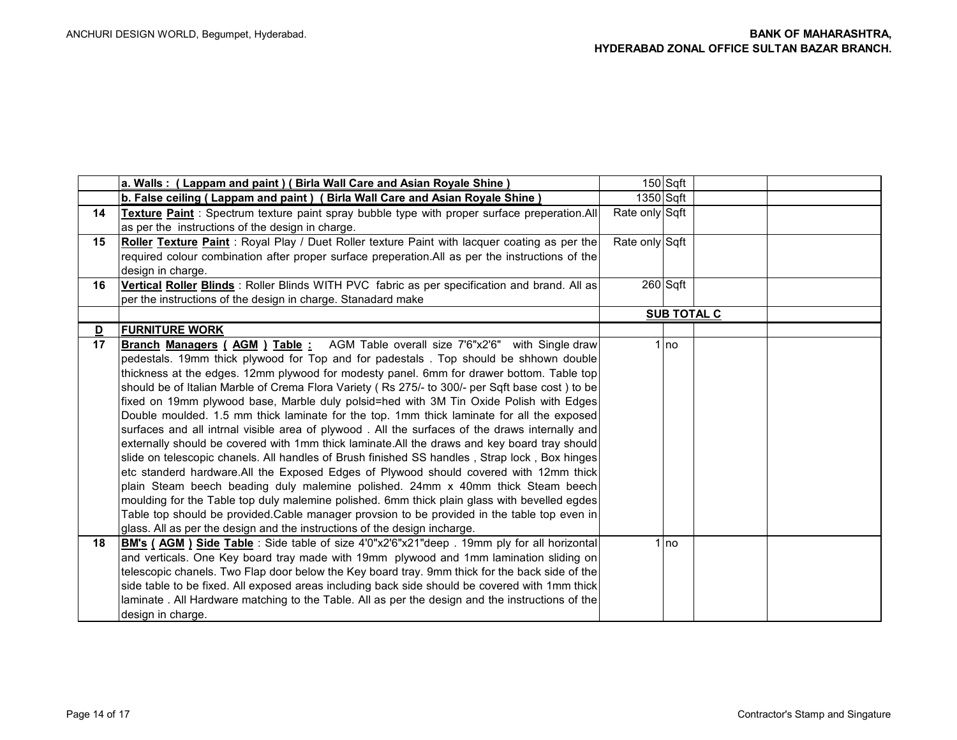|                         | a. Walls: (Lappam and paint) (Birla Wall Care and Asian Royale Shine)                            |                | 150 Sqft           |  |
|-------------------------|--------------------------------------------------------------------------------------------------|----------------|--------------------|--|
|                         | b. False ceiling (Lappam and paint) (Birla Wall Care and Asian Royale Shine)                     | 1350 Sqft      |                    |  |
| 14                      | Texture Paint: Spectrum texture paint spray bubble type with proper surface preperation.All      | Rate only Sqft |                    |  |
|                         | as per the instructions of the design in charge.                                                 |                |                    |  |
| 15                      | Roller Texture Paint: Royal Play / Duet Roller texture Paint with lacquer coating as per the     | Rate only Sqft |                    |  |
|                         | required colour combination after proper surface preperation.All as per the instructions of the  |                |                    |  |
|                         | design in charge.                                                                                |                |                    |  |
| 16                      | Vertical Roller Blinds: Roller Blinds WITH PVC fabric as per specification and brand. All as     |                | $260$ Sqft         |  |
|                         | per the instructions of the design in charge. Stanadard make                                     |                |                    |  |
|                         |                                                                                                  |                | <b>SUB TOTAL C</b> |  |
| $\overline{\mathbf{D}}$ | <b>FURNITURE WORK</b>                                                                            |                |                    |  |
| 17                      | Branch Managers ( AGM ) Table: AGM Table overall size 7'6"x2'6" with Single draw                 |                | $1$ no             |  |
|                         | pedestals. 19mm thick plywood for Top and for padestals. Top should be shhown double             |                |                    |  |
|                         | thickness at the edges. 12mm plywood for modesty panel. 6mm for drawer bottom. Table top         |                |                    |  |
|                         | should be of Italian Marble of Crema Flora Variety (Rs 275/- to 300/- per Sqft base cost ) to be |                |                    |  |
|                         | fixed on 19mm plywood base, Marble duly polsid=hed with 3M Tin Oxide Polish with Edges           |                |                    |  |
|                         | Double moulded. 1.5 mm thick laminate for the top. 1mm thick laminate for all the exposed        |                |                    |  |
|                         | surfaces and all intrnal visible area of plywood. All the surfaces of the draws internally and   |                |                    |  |
|                         | externally should be covered with 1mm thick laminate. All the draws and key board tray should    |                |                    |  |
|                         | slide on telescopic chanels. All handles of Brush finished SS handles, Strap lock, Box hinges    |                |                    |  |
|                         | etc standerd hardware. All the Exposed Edges of Plywood should covered with 12mm thick           |                |                    |  |
|                         | plain Steam beech beading duly malemine polished. 24mm x 40mm thick Steam beech                  |                |                    |  |
|                         | moulding for the Table top duly malemine polished. 6mm thick plain glass with bevelled egdes     |                |                    |  |
|                         | Table top should be provided.Cable manager provsion to be provided in the table top even in      |                |                    |  |
|                         | glass. All as per the design and the instructions of the design incharge.                        |                |                    |  |
| 18                      | BM's (AGM) Side Table: Side table of size 4'0"x2'6"x21"deep . 19mm ply for all horizontal        |                | 1 no               |  |
|                         | and verticals. One Key board tray made with 19mm plywood and 1mm lamination sliding on           |                |                    |  |
|                         | telescopic chanels. Two Flap door below the Key board tray. 9mm thick for the back side of the   |                |                    |  |
|                         | side table to be fixed. All exposed areas including back side should be covered with 1mm thick   |                |                    |  |
|                         | laminate. All Hardware matching to the Table. All as per the design and the instructions of the  |                |                    |  |
|                         | design in charge.                                                                                |                |                    |  |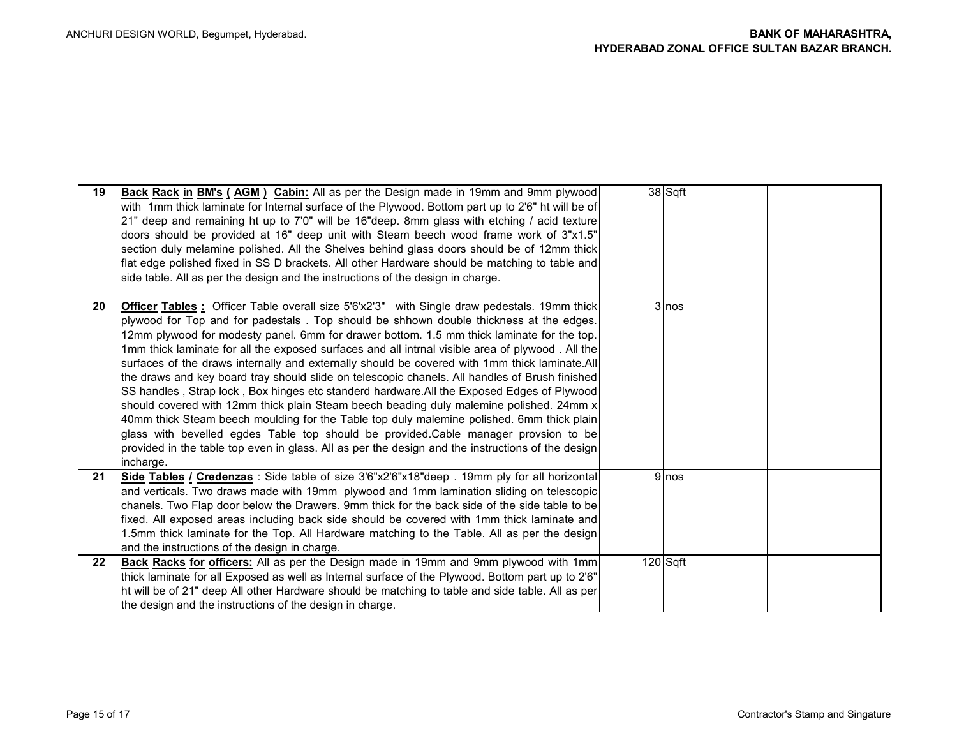| 19      | <b>Back Rack in BM's (AGM) Cabin:</b> All as per the Design made in 19mm and 9mm plywood<br>with 1mm thick laminate for Internal surface of the Plywood. Bottom part up to 2'6" ht will be of<br>21" deep and remaining ht up to 7'0" will be 16"deep. 8mm glass with etching / acid texture<br>doors should be provided at 16" deep unit with Steam beech wood frame work of 3"x1.5"<br>section duly melamine polished. All the Shelves behind glass doors should be of 12mm thick<br>flat edge polished fixed in SS D brackets. All other Hardware should be matching to table and<br>side table. All as per the design and the instructions of the design in charge.                                                                                                                                                                                                                                                                                                                                                                                                                          | 38 Sqft  |  |
|---------|--------------------------------------------------------------------------------------------------------------------------------------------------------------------------------------------------------------------------------------------------------------------------------------------------------------------------------------------------------------------------------------------------------------------------------------------------------------------------------------------------------------------------------------------------------------------------------------------------------------------------------------------------------------------------------------------------------------------------------------------------------------------------------------------------------------------------------------------------------------------------------------------------------------------------------------------------------------------------------------------------------------------------------------------------------------------------------------------------|----------|--|
| 20      | <b>Officer Tables</b> : Officer Table overall size 5'6'x2'3" with Single draw pedestals. 19mm thick<br>plywood for Top and for padestals. Top should be shhown double thickness at the edges.<br>12mm plywood for modesty panel. 6mm for drawer bottom. 1.5 mm thick laminate for the top.<br>1mm thick laminate for all the exposed surfaces and all intrnal visible area of plywood. All the<br>surfaces of the draws internally and externally should be covered with 1mm thick laminate.All<br>the draws and key board tray should slide on telescopic chanels. All handles of Brush finished<br>SS handles, Strap lock, Box hinges etc standerd hardware. All the Exposed Edges of Plywood<br>should covered with 12mm thick plain Steam beech beading duly malemine polished. 24mm x<br>40mm thick Steam beech moulding for the Table top duly malemine polished. 6mm thick plain<br>glass with bevelled egdes Table top should be provided.Cable manager provsion to be<br>provided in the table top even in glass. All as per the design and the instructions of the design<br>incharge. | $3$ nos  |  |
| 21      | Side Tables / Credenzas: Side table of size 3'6"x2'6"x18"deep . 19mm ply for all horizontal<br>and verticals. Two draws made with 19mm plywood and 1mm lamination sliding on telescopic<br>chanels. Two Flap door below the Drawers. 9mm thick for the back side of the side table to be<br>fixed. All exposed areas including back side should be covered with 1mm thick laminate and<br>1.5mm thick laminate for the Top. All Hardware matching to the Table. All as per the design<br>and the instructions of the design in charge.                                                                                                                                                                                                                                                                                                                                                                                                                                                                                                                                                           | 9 nos    |  |
| $22 \,$ | <b>Back Racks for officers:</b> All as per the Design made in 19mm and 9mm plywood with 1mm<br>thick laminate for all Exposed as well as Internal surface of the Plywood. Bottom part up to 2'6"<br>ht will be of 21" deep All other Hardware should be matching to table and side table. All as per<br>the design and the instructions of the design in charge.                                                                                                                                                                                                                                                                                                                                                                                                                                                                                                                                                                                                                                                                                                                                 | 120 Sqft |  |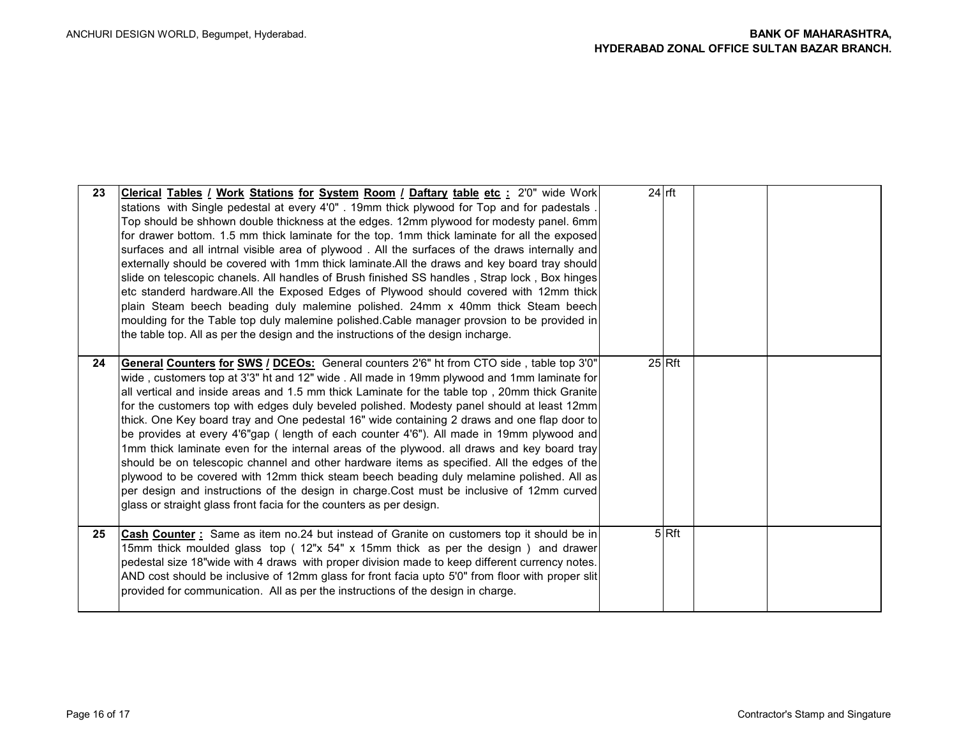| 23 | Clerical Tables / Work Stations for System Room / Daftary table etc : 2'0" wide Work<br>stations with Single pedestal at every 4'0". 19mm thick plywood for Top and for padestals.<br>Top should be shhown double thickness at the edges. 12mm plywood for modesty panel. 6mm<br>for drawer bottom. 1.5 mm thick laminate for the top. 1mm thick laminate for all the exposed<br>surfaces and all intrnal visible area of plywood. All the surfaces of the draws internally and<br>externally should be covered with 1mm thick laminate. All the draws and key board tray should<br>slide on telescopic chanels. All handles of Brush finished SS handles, Strap lock, Box hinges<br>etc standerd hardware. All the Exposed Edges of Plywood should covered with 12mm thick<br>plain Steam beech beading duly malemine polished. 24mm x 40mm thick Steam beech<br>moulding for the Table top duly malemine polished. Cable manager provsion to be provided in<br>the table top. All as per the design and the instructions of the design incharge.    | $24$ rft            |  |
|----|-------------------------------------------------------------------------------------------------------------------------------------------------------------------------------------------------------------------------------------------------------------------------------------------------------------------------------------------------------------------------------------------------------------------------------------------------------------------------------------------------------------------------------------------------------------------------------------------------------------------------------------------------------------------------------------------------------------------------------------------------------------------------------------------------------------------------------------------------------------------------------------------------------------------------------------------------------------------------------------------------------------------------------------------------------|---------------------|--|
| 24 | <b>General Counters for SWS / DCEOs:</b> General counters 2'6" ht from CTO side, table top 3'0"<br>wide, customers top at 3'3" ht and 12" wide. All made in 19mm plywood and 1mm laminate for<br>all vertical and inside areas and 1.5 mm thick Laminate for the table top, 20mm thick Granite<br>for the customers top with edges duly beveled polished. Modesty panel should at least 12mm<br>thick. One Key board tray and One pedestal 16" wide containing 2 draws and one flap door to<br>be provides at every 4'6"gap (length of each counter 4'6"). All made in 19mm plywood and<br>1mm thick laminate even for the internal areas of the plywood. all draws and key board tray<br>should be on telescopic channel and other hardware items as specified. All the edges of the<br>plywood to be covered with 12mm thick steam beech beading duly melamine polished. All as<br>per design and instructions of the design in charge.Cost must be inclusive of 12mm curved<br>glass or straight glass front facia for the counters as per design. | $25$ <sub>Rft</sub> |  |
| 25 | Cash Counter: Same as item no.24 but instead of Granite on customers top it should be in<br>15mm thick moulded glass top (12"x 54" x 15mm thick as per the design) and drawer<br>pedestal size 18"wide with 4 draws with proper division made to keep different currency notes.<br>AND cost should be inclusive of 12mm glass for front facia upto 5'0" from floor with proper slit<br>provided for communication. All as per the instructions of the design in charge.                                                                                                                                                                                                                                                                                                                                                                                                                                                                                                                                                                               | 5 Rft               |  |